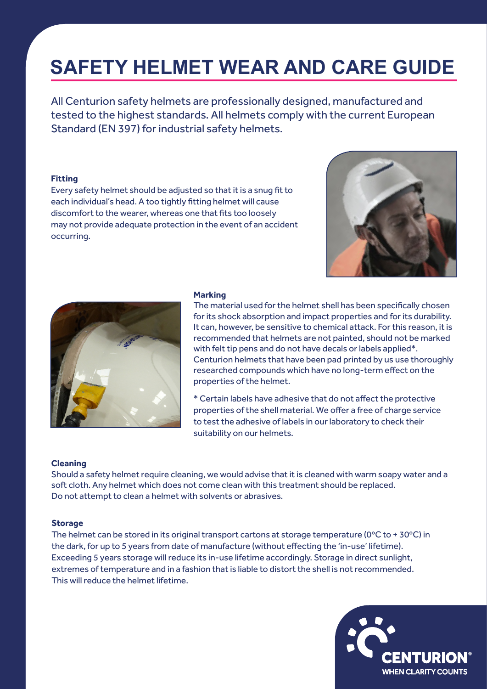# **SAFETY HELMET WEAR AND CARE GUIDE**

All Centurion safety helmets are professionally designed, manufactured and tested to the highest standards. All helmets comply with the current European Standard (EN 397) for industrial safety helmets.

# **Fitting**

Every safety helmet should be adjusted so that it is a snug fit to each individual's head. A too tightly fitting helmet will cause discomfort to the wearer, whereas one that fits too loosely may not provide adequate protection in the event of an accident occurring.





#### **Marking**

The material used for the helmet shell has been specifically chosen for its shock absorption and impact properties and for its durability. It can, however, be sensitive to chemical attack. For this reason, it is recommended that helmets are not painted, should not be marked with felt tip pens and do not have decals or labels applied\*. Centurion helmets that have been pad printed by us use thoroughly researched compounds which have no long-term effect on the properties of the helmet.

\* Certain labels have adhesive that do not affect the protective properties of the shell material. We offer a free of charge service to test the adhesive of labels in our laboratory to check their suitability on our helmets.

#### **Cleaning**

Should a safety helmet require cleaning, we would advise that it is cleaned with warm soapy water and a soft cloth. Any helmet which does not come clean with this treatment should be replaced. Do not attempt to clean a helmet with solvents or abrasives.

#### **Storage**

The helmet can be stored in its original transport cartons at storage temperature ( $0^{\circ}$ C to + 30 $^{\circ}$ C) in the dark, for up to 5 years from date of manufacture (without effecting the 'in-use' lifetime). Exceeding 5 years storage will reduce its in-use lifetime accordingly. Storage in direct sunlight, extremes of temperature and in a fashion that is liable to distort the shell is not recommended. This will reduce the helmet lifetime.